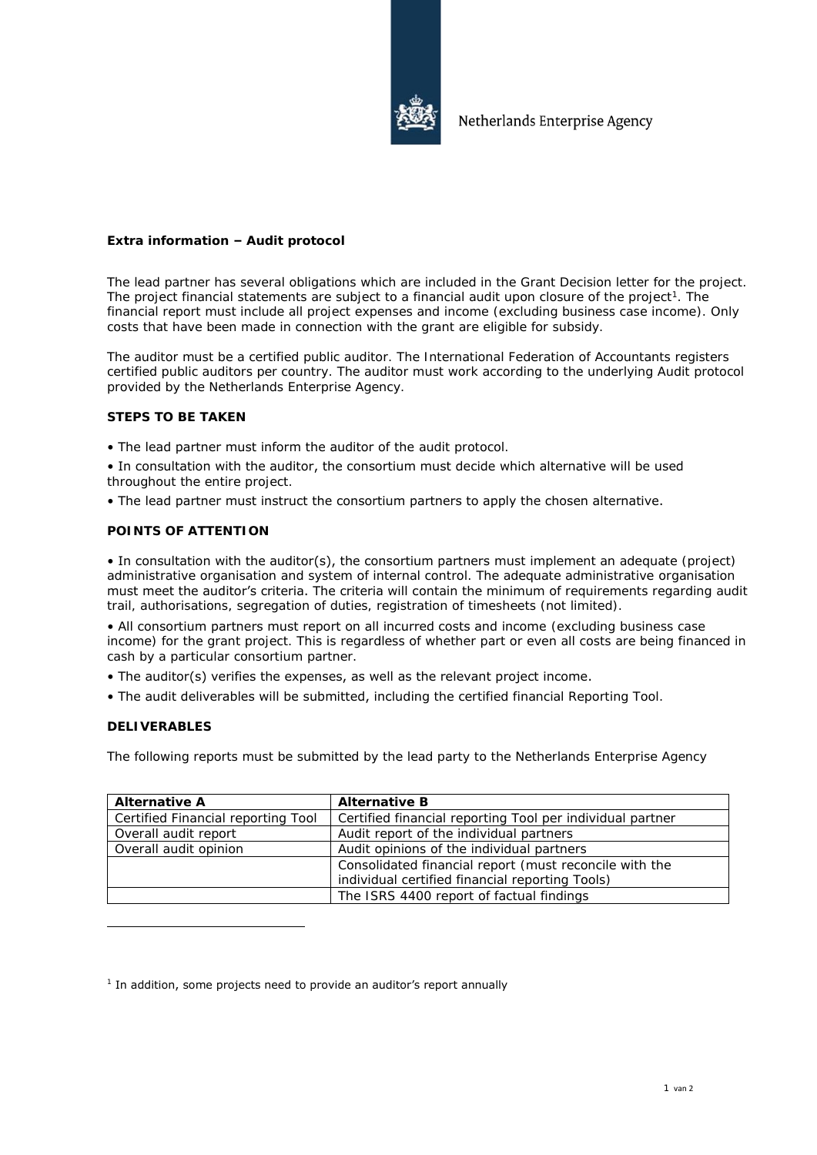

## **Extra information – Audit protocol**

The lead partner has several obligations which are included in the Grant Decision letter for the project. The project financial statements are subject to a financial audit upon closure of the project<sup>1</sup>. The financial report must include all project expenses and income (excluding business case income). Only costs that have been made in connection with the grant are eligible for subsidy.

The auditor must be a certified public auditor. The International Federation of Accountants registers certified public auditors per country. The auditor must work according to the underlying Audit protocol provided by the Netherlands Enterprise Agency.

## **STEPS TO BE TAKEN**

• The lead partner must inform the auditor of the audit protocol.

• In consultation with the auditor, the consortium must decide which alternative will be used throughout the entire project.

• The lead partner must instruct the consortium partners to apply the chosen alternative.

## **POINTS OF ATTENTION**

• In consultation with the auditor(s), the consortium partners must implement an adequate (project) administrative organisation and system of internal control. The adequate administrative organisation must meet the auditor's criteria. The criteria will contain the minimum of requirements regarding audit trail, authorisations, segregation of duties, registration of timesheets (not limited).

• All consortium partners must report on all incurred costs and income (excluding business case income) for the grant project. This is regardless of whether part or even all costs are being financed in cash by a particular consortium partner.

- The auditor(s) verifies the expenses, as well as the relevant project income.
- The audit deliverables will be submitted, including the certified financial Reporting Tool.

## **DELIVERABLES**

The following reports must be submitted by the lead party to the Netherlands Enterprise Agency

| Alternative A                      | Alternative B                                             |
|------------------------------------|-----------------------------------------------------------|
| Certified Financial reporting Tool | Certified financial reporting Tool per individual partner |
| Overall audit report               | Audit report of the individual partners                   |
| Overall audit opinion              | Audit opinions of the individual partners                 |
|                                    | Consolidated financial report (must reconcile with the    |
|                                    | individual certified financial reporting Tools)           |
|                                    | The ISRS 4400 report of factual findings                  |

<sup>1</sup> In addition, some projects need to provide an auditor's report annually